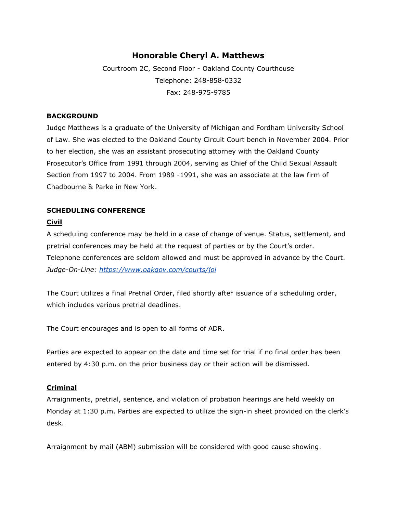# **Honorable Cheryl A. Matthews**

Courtroom 2C, Second Floor - Oakland County Courthouse Telephone: 248-858-0332 Fax: 248-975-9785

#### **BACKGROUND**

Judge Matthews is a graduate of the University of Michigan and Fordham University School of Law. She was elected to the Oakland County Circuit Court bench in November 2004. Prior to her election, she was an assistant prosecuting attorney with the Oakland County Prosecutor's Office from 1991 through 2004, serving as Chief of the Child Sexual Assault Section from 1997 to 2004. From 1989 -1991, she was an associate at the law firm of Chadbourne & Parke in New York.

## **SCHEDULING CONFERENCE**

### **Civil**

A scheduling conference may be held in a case of change of venue. Status, settlement, and pretrial conferences may be held at the request of parties or by the Court's order. Telephone conferences are seldom allowed and must be approved in advance by the Court. *Judge-On-Line:<https://www.oakgov.com/courts/jol>*

The Court utilizes a final Pretrial Order, filed shortly after issuance of a scheduling order, which includes various pretrial deadlines.

The Court encourages and is open to all forms of ADR.

Parties are expected to appear on the date and time set for trial if no final order has been entered by 4:30 p.m. on the prior business day or their action will be dismissed.

### **Criminal**

Arraignments, pretrial, sentence, and violation of probation hearings are held weekly on Monday at 1:30 p.m. Parties are expected to utilize the sign-in sheet provided on the clerk's desk.

Arraignment by mail (ABM) submission will be considered with good cause showing.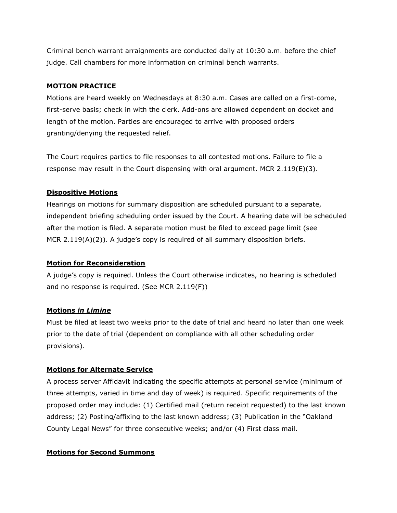Criminal bench warrant arraignments are conducted daily at 10:30 a.m. before the chief judge. Call chambers for more information on criminal bench warrants.

### **MOTION PRACTICE**

Motions are heard weekly on Wednesdays at 8:30 a.m. Cases are called on a first-come, first-serve basis; check in with the clerk. Add-ons are allowed dependent on docket and length of the motion. Parties are encouraged to arrive with proposed orders granting/denying the requested relief.

The Court requires parties to file responses to all contested motions. Failure to file a response may result in the Court dispensing with oral argument. MCR  $2.119(E)(3)$ .

### **Dispositive Motions**

Hearings on motions for summary disposition are scheduled pursuant to a separate, independent briefing scheduling order issued by the Court. A hearing date will be scheduled after the motion is filed. A separate motion must be filed to exceed page limit (see MCR 2.119(A)(2)). A judge's copy is required of all summary disposition briefs.

### **Motion for Reconsideration**

A judge's copy is required. Unless the Court otherwise indicates, no hearing is scheduled and no response is required. (See MCR 2.119(F))

### **Motions** *in Limine*

Must be filed at least two weeks prior to the date of trial and heard no later than one week prior to the date of trial (dependent on compliance with all other scheduling order provisions).

### **Motions for Alternate Service**

A process server Affidavit indicating the specific attempts at personal service (minimum of three attempts, varied in time and day of week) is required. Specific requirements of the proposed order may include: (1) Certified mail (return receipt requested) to the last known address; (2) Posting/affixing to the last known address; (3) Publication in the "Oakland County Legal News" for three consecutive weeks; and/or (4) First class mail.

### **Motions for Second Summons**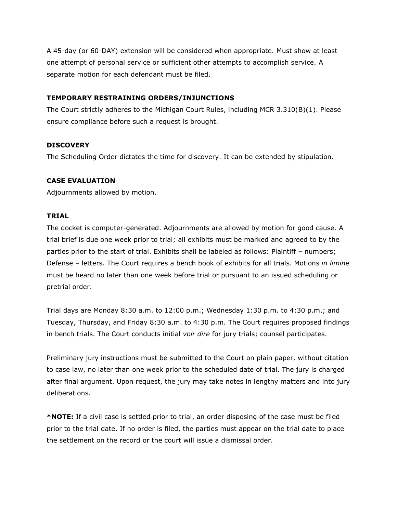A 45-day (or 60-DAY) extension will be considered when appropriate. Must show at least one attempt of personal service or sufficient other attempts to accomplish service. A separate motion for each defendant must be filed.

#### **TEMPORARY RESTRAINING ORDERS/INJUNCTIONS**

The Court strictly adheres to the Michigan Court Rules, including MCR 3.310(B)(1). Please ensure compliance before such a request is brought.

#### **DISCOVERY**

The Scheduling Order dictates the time for discovery. It can be extended by stipulation.

#### **CASE EVALUATION**

Adjournments allowed by motion.

#### **TRIAL**

The docket is computer-generated. Adjournments are allowed by motion for good cause. A trial brief is due one week prior to trial; all exhibits must be marked and agreed to by the parties prior to the start of trial. Exhibits shall be labeled as follows: Plaintiff – numbers; Defense – letters. The Court requires a bench book of exhibits for all trials. Motions *in limine* must be heard no later than one week before trial or pursuant to an issued scheduling or pretrial order.

Trial days are Monday 8:30 a.m. to 12:00 p.m.; Wednesday 1:30 p.m. to 4:30 p.m.; and Tuesday, Thursday, and Friday 8:30 a.m. to 4:30 p.m. The Court requires proposed findings in bench trials. The Court conducts initial *voir dire* for jury trials; counsel participates.

Preliminary jury instructions must be submitted to the Court on plain paper, without citation to case law, no later than one week prior to the scheduled date of trial. The jury is charged after final argument. Upon request, the jury may take notes in lengthy matters and into jury deliberations.

**\*NOTE:** If a civil case is settled prior to trial, an order disposing of the case must be filed prior to the trial date. If no order is filed, the parties must appear on the trial date to place the settlement on the record or the court will issue a dismissal order.